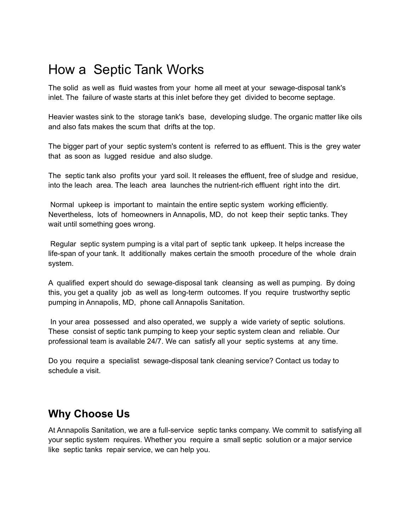## How a Septic Tank Works

The solid as well as fluid wastes from your home all meet at your sewage-disposal tank's inlet. The failure of waste starts at this inlet before they get divided to become septage.

Heavier wastes sink to the storage tank's base, developing sludge. The organic matter like oils and also fats makes the scum that drifts at the top.

The bigger part of your septic system's content is referred to as effluent. This is the grey water that as soon as lugged residue and also sludge.

The septic tank also profits your yard soil. It releases the effluent, free of sludge and residue, into the leach area. The leach area launches the nutrient-rich effluent right into the dirt.

Normal upkeep is important to maintain the entire septic system working efficiently. Nevertheless, lots of homeowners in Annapolis, MD, do not keep their septic tanks. They wait until something goes wrong.

Regular septic system pumping is a vital part of septic tank upkeep. It helps increase the life-span of your tank. It additionally makes certain the smooth procedure of the whole drain system.

A qualified expert should do sewage-disposal tank cleansing as well as pumping. By doing this, you get a quality job as well as long-term outcomes. If you require trustworthy septic pumping in Annapolis, MD, phone call Annapolis Sanitation.

In your area possessed and also operated, we supply a wide variety of septic solutions. These consist of septic tank pumping to keep your septic system clean and reliable. Our professional team is available 24/7. We can satisfy all your septic systems at any time.

Do you require a specialist sewage-disposal tank cleaning service? Contact us today to schedule a visit.

## **Why Choose Us**

At Annapolis Sanitation, we are a full-service septic tanks company. We commit to satisfying all your septic system requires. Whether you require a small septic solution or a major service like septic tanks repair service, we can help you.